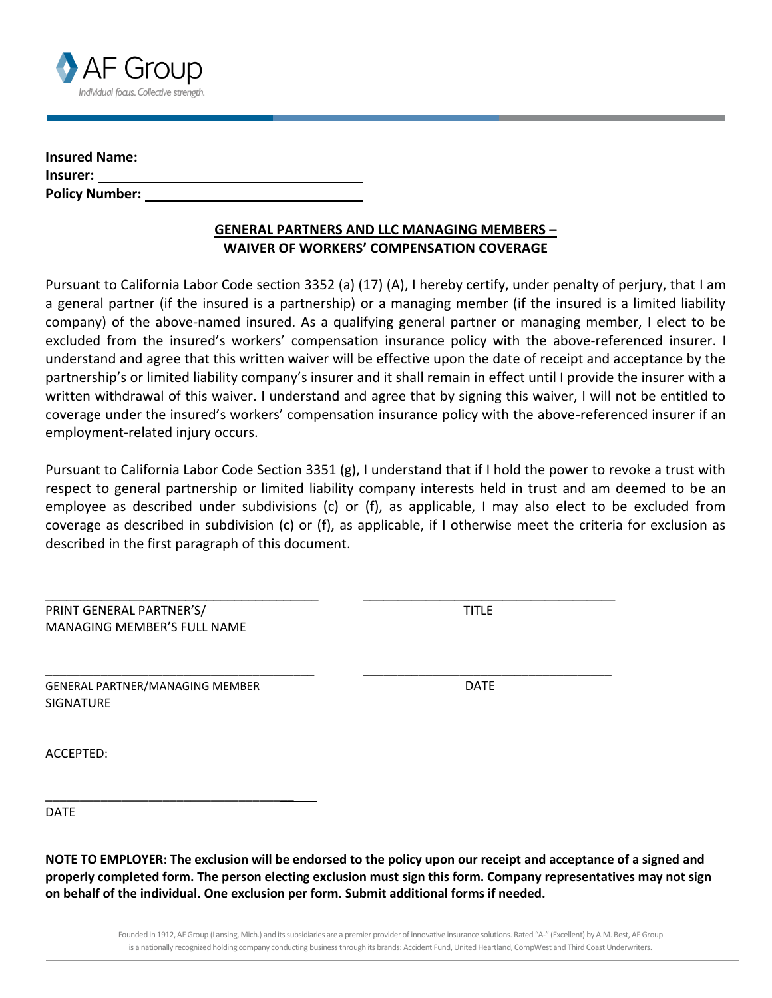

| <b>Insured Name:</b>  |  |
|-----------------------|--|
| Insurer:              |  |
| <b>Policy Number:</b> |  |

## **GENERAL PARTNERS AND LLC MANAGING MEMBERS – WAIVER OF WORKERS' COMPENSATION COVERAGE**

Pursuant to California Labor Code section 3352 (a) (17) (A), I hereby certify, under penalty of perjury, that I am a general partner (if the insured is a partnership) or a managing member (if the insured is a limited liability company) of the above-named insured. As a qualifying general partner or managing member, I elect to be excluded from the insured's workers' compensation insurance policy with the above-referenced insurer. I understand and agree that this written waiver will be effective upon the date of receipt and acceptance by the partnership's or limited liability company's insurer and it shall remain in effect until I provide the insurer with a written withdrawal of this waiver. I understand and agree that by signing this waiver, I will not be entitled to coverage under the insured's workers' compensation insurance policy with the above-referenced insurer if an employment-related injury occurs.

Pursuant to California Labor Code Section 3351 (g), I understand that if I hold the power to revoke a trust with respect to general partnership or limited liability company interests held in trust and am deemed to be an employee as described under subdivisions (c) or (f), as applicable, I may also elect to be excluded from coverage as described in subdivision (c) or (f), as applicable, if I otherwise meet the criteria for exclusion as described in the first paragraph of this document.

\_\_\_\_\_\_\_\_\_\_\_\_\_\_\_\_\_\_\_\_\_\_\_\_\_\_\_\_\_\_\_\_\_\_\_\_\_\_\_ \_\_\_\_\_\_\_\_\_\_\_\_\_\_\_\_\_\_\_\_\_\_\_\_\_\_\_\_\_\_\_\_\_\_\_\_

\_\_\_\_\_\_\_\_\_\_\_\_\_\_\_\_\_\_\_\_\_\_\_\_\_\_\_\_\_\_\_\_\_\_\_\_\_\_\_ \_\_\_\_\_\_\_\_\_\_\_\_\_\_\_\_\_\_\_\_\_\_\_\_\_\_\_\_\_\_\_\_\_\_\_\_

| PRINT GENERAL PARTNER'S/    | TITLE |
|-----------------------------|-------|
| MANAGING MEMBER'S FULL NAME |       |

GENERAL PARTNER/MANAGING MEMBER DATE SIGNATURE

\_\_\_\_\_\_\_\_\_\_\_\_\_\_\_\_\_\_\_\_\_\_\_\_\_\_\_\_\_\_\_\_\_\_\_\_

ACCEPTED:

DATE

**NOTE TO EMPLOYER: The exclusion will be endorsed to the policy upon our receipt and acceptance of a signed and properly completed form. The person electing exclusion must sign this form. Company representatives may not sign on behalf of the individual. One exclusion per form. Submit additional forms if needed.**